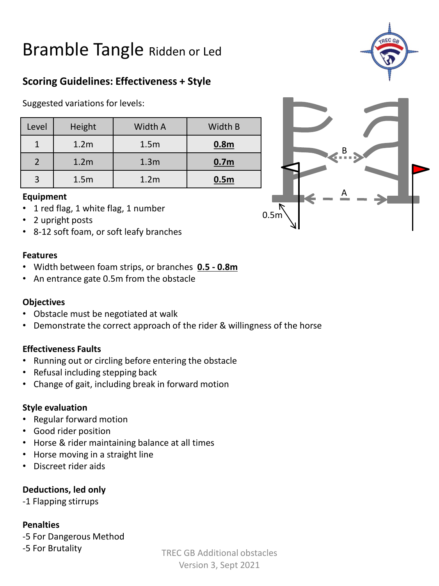# Bramble Tangle Ridden or Led

### **Scoring Guidelines: Effectiveness + Style**

Suggested variations for levels:

| Level | <b>Height</b>    | Width A          | Width B          |
|-------|------------------|------------------|------------------|
|       | 1.2 <sub>m</sub> | 1.5 <sub>m</sub> | 0.8 <sub>m</sub> |
|       | 1.2 <sub>m</sub> | 1.3 <sub>m</sub> | 0.7 <sub>m</sub> |
|       | 1.5 <sub>m</sub> | 1.2 <sub>m</sub> | 0.5 <sub>m</sub> |

#### **Equipment**

- 1 red flag, 1 white flag, 1 number
- 2 upright posts
- 8-12 soft foam, or soft leafy branches

#### **Features**

- Width between foam strips, or branches **0.5 - 0.8m**
- An entrance gate 0.5m from the obstacle

#### **Objectives**

- Obstacle must be negotiated at walk
- Demonstrate the correct approach of the rider & willingness of the horse

#### **Effectiveness Faults**

- Running out or circling before entering the obstacle
- Refusal including stepping back
- Change of gait, including break in forward motion

#### **Style evaluation**

- Regular forward motion
- Good rider position
- Horse & rider maintaining balance at all times
- Horse moving in a straight line
- Discreet rider aids

#### **Deductions, led only**

-1 Flapping stirrups

#### **Penalties**

-5 For Dangerous Method

-5 For Brutality



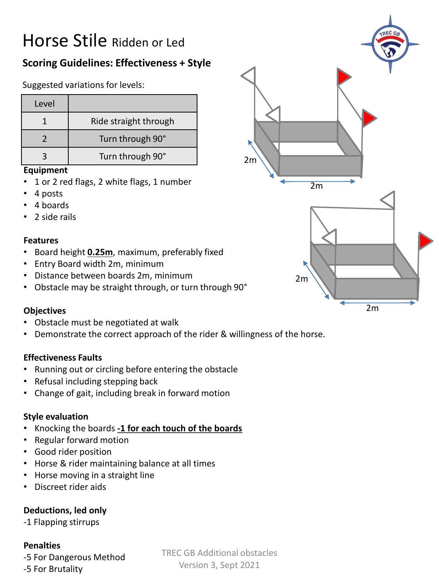# Horse Stile Ridden or Led

## **Scoring Guidelines: Effectiveness + Style**

Suggested variations for levels:

| Level |                       |
|-------|-----------------------|
|       | Ride straight through |
|       | Turn through 90°      |
|       | Turn through 90°      |

#### **Equipment**

- 1 or 2 red flags, 2 white flags, 1 number
- 4 posts
- 4 boards
- 2 side rails

#### **Features**

- Board height **0.25m**, maximum, preferably fixed
- Entry Board width 2m, minimum
- Distance between boards 2m, minimum
- Obstacle may be straight through, or turn through 90°

#### **Objectives**

- Obstacle must be negotiated at walk
- Demonstrate the correct approach of the rider & willingness of the horse.

#### **Effectiveness Faults**

- Running out or circling before entering the obstacle
- Refusal including stepping back
- Change of gait, including break in forward motion

#### **Style evaluation**

- Knocking the boards **-1 for each touch of the boards**
- Regular forward motion
- Good rider position
- Horse & rider maintaining balance at all times
- Horse moving in a straight line
- Discreet rider aids

#### **Deductions, led only**

-1 Flapping stirrups

#### **Penalties**

-5 For Dangerous Method -5 For Brutality

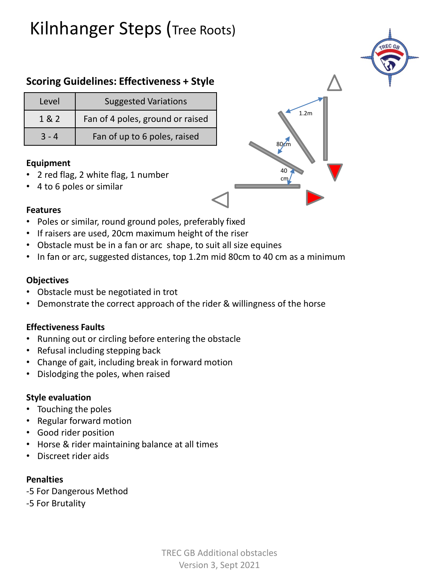# Kilnhanger Steps (Tree Roots)

### **Scoring Guidelines: Effectiveness + Style**

| Level   | <b>Suggested Variations</b>      |
|---------|----------------------------------|
| 1 & 2   | Fan of 4 poles, ground or raised |
| $3 - 4$ | Fan of up to 6 poles, raised     |

#### **Equipment**

- 2 red flag, 2 white flag, 1 number
- 4 to 6 poles or similar



#### **Features**

- Poles or similar, round ground poles, preferably fixed
- If raisers are used, 20cm maximum height of the riser
- Obstacle must be in a fan or arc shape, to suit all size equines
- In fan or arc, suggested distances, top 1.2m mid 80cm to 40 cm as a minimum

#### **Objectives**

- Obstacle must be negotiated in trot
- Demonstrate the correct approach of the rider & willingness of the horse

#### **Effectiveness Faults**

- Running out or circling before entering the obstacle
- Refusal including stepping back
- Change of gait, including break in forward motion
- Dislodging the poles, when raised

#### **Style evaluation**

- Touching the poles
- Regular forward motion
- Good rider position
- Horse & rider maintaining balance at all times
- Discreet rider aids

#### **Penalties**

- -5 For Dangerous Method
- -5 For Brutality

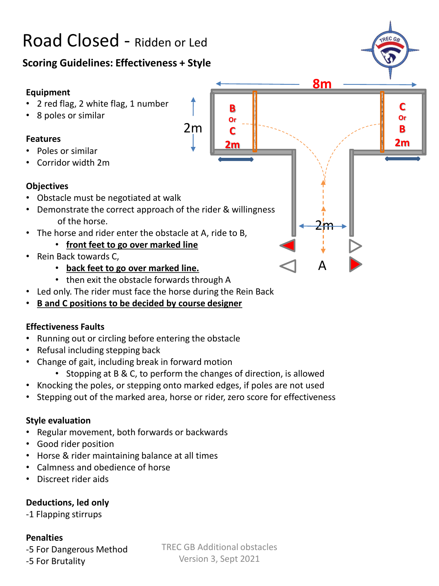# Road Closed - Ridden or Led

### **Scoring Guidelines: Effectiveness + Style**

#### **Equipment**

- 2 red flag, 2 white flag, 1 number
- 8 poles or similar

#### **Features**

- Poles or similar
- Corridor width 2m

#### **Objectives**

- Obstacle must be negotiated at walk
- Demonstrate the correct approach of the rider & willingness of the horse.
- The horse and rider enter the obstacle at A, ride to B,
	- **front feet to go over marked line**
- Rein Back towards C,
	- **back feet to go over marked line.**
	- then exit the obstacle forwards through A
- Led only. The rider must face the horse during the Rein Back
- **B and C positions to be decided by course designer**

#### **Effectiveness Faults**

- Running out or circling before entering the obstacle
- Refusal including stepping back
- Change of gait, including break in forward motion
	- Stopping at B & C, to perform the changes of direction, is allowed

2m

**B Or C 2m**

A

2m

**8m**

**C Or B 2m**

- Knocking the poles, or stepping onto marked edges, if poles are not used
- Stepping out of the marked area, horse or rider, zero score for effectiveness

#### **Style evaluation**

- Regular movement, both forwards or backwards
- Good rider position
- Horse & rider maintaining balance at all times
- Calmness and obedience of horse
- Discreet rider aids

#### **Deductions, led only**

-1 Flapping stirrups

#### **Penalties**

-5 For Dangerous Method -5 For Brutality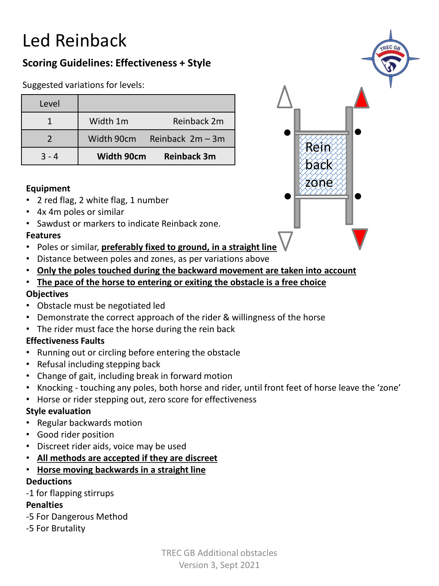# Led Reinback

### **Scoring Guidelines: Effectiveness + Style**

Suggested variations for levels:

| Level   |                   |                    |
|---------|-------------------|--------------------|
|         | Width 1m          | Reinback 2m        |
|         | Width 90cm        | Reinback 2m - 3m   |
| $3 - 4$ | <b>Width 90cm</b> | <b>Reinback 3m</b> |

#### **Equipment**

- 2 red flag, 2 white flag, 1 number
- 4x 4m poles or similar
- Sawdust or markers to indicate Reinback zone.

#### **Features**

- Poles or similar, **preferably fixed to ground, in a straight line**
- Distance between poles and zones, as per variations above
- **Only the poles touched during the backward movement are taken into account**
- **The pace of the horse to entering or exiting the obstacle is a free choice Objectives**
- Obstacle must be negotiated led
- Demonstrate the correct approach of the rider & willingness of the horse
- The rider must face the horse during the rein back

#### **Effectiveness Faults**

- Running out or circling before entering the obstacle
- Refusal including stepping back
- Change of gait, including break in forward motion
- Knocking touching any poles, both horse and rider, until front feet of horse leave the 'zone'
- Horse or rider stepping out, zero score for effectiveness

#### **Style evaluation**

- Regular backwards motion
- Good rider position
- Discreet rider aids, voice may be used
- **All methods are accepted if they are discreet**
- **Horse moving backwards in a straight line Deductions**
- -1 for flapping stirrups

#### **Penalties**

- -5 For Dangerous Method
- -5 For Brutality

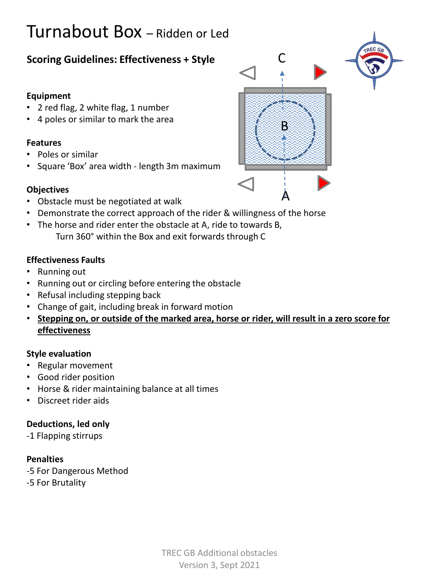# Turnabout Box – Ridden or Led

### **Scoring Guidelines: Effectiveness + Style**

#### **Equipment**

- 2 red flag, 2 white flag, 1 number
- 4 poles or similar to mark the area

#### **Features**

- Poles or similar
- Square 'Box' area width length 3m maximum

#### **Objectives**

- Obstacle must be negotiated at walk
- Demonstrate the correct approach of the rider & willingness of the horse
- The horse and rider enter the obstacle at A, ride to towards B, Turn 360° within the Box and exit forwards through C

#### **Effectiveness Faults**

- Running out
- Running out or circling before entering the obstacle
- Refusal including stepping back
- Change of gait, including break in forward motion
- **Stepping on, or outside of the marked area, horse or rider, will result in a zero score for effectiveness**

A

B

 $\mathsf{\mathsf{C}}$ 

#### **Style evaluation**

- Regular movement
- Good rider position
- Horse & rider maintaining balance at all times
- Discreet rider aids

#### **Deductions, led only**

-1 Flapping stirrups

#### **Penalties**

-5 For Dangerous Method

-5 For Brutality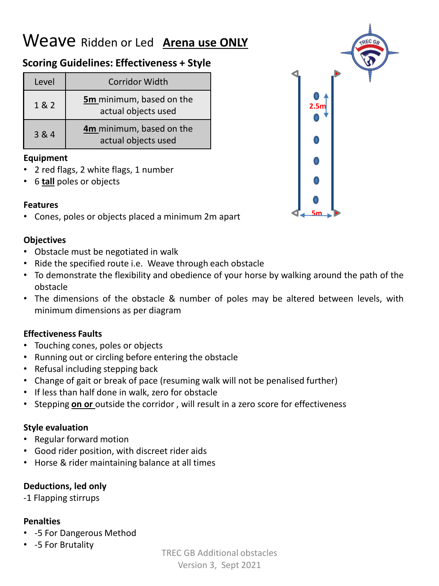# Weave Ridden or Led **Arena use ONLY**

### **Scoring Guidelines: Effectiveness + Style**

| Level | <b>Corridor Width</b>                           |  |
|-------|-------------------------------------------------|--|
| 1 & 2 | 5m minimum, based on the<br>actual objects used |  |
| 3 & 4 | 4m minimum, based on the<br>actual objects used |  |

#### **Equipment**

- 2 red flags, 2 white flags, 1 number
- 6 **tall** poles or objects

#### **Features**

• Cones, poles or objects placed a minimum 2m apart

#### **Objectives**

- Obstacle must be negotiated in walk
- Ride the specified route i.e. Weave through each obstacle
- To demonstrate the flexibility and obedience of your horse by walking around the path of the obstacle
- The dimensions of the obstacle & number of poles may be altered between levels, with minimum dimensions as per diagram

#### **Effectiveness Faults**

- Touching cones, poles or objects
- Running out or circling before entering the obstacle
- Refusal including stepping back
- Change of gait or break of pace (resuming walk will not be penalised further)
- If less than half done in walk, zero for obstacle
- Stepping **on or** outside the corridor , will result in a zero score for effectiveness

#### **Style evaluation**

- Regular forward motion
- Good rider position, with discreet rider aids
- Horse & rider maintaining balance at all times

#### **Deductions, led only**

-1 Flapping stirrups

#### **Penalties**

- -5 For Dangerous Method
- -5 For Brutality

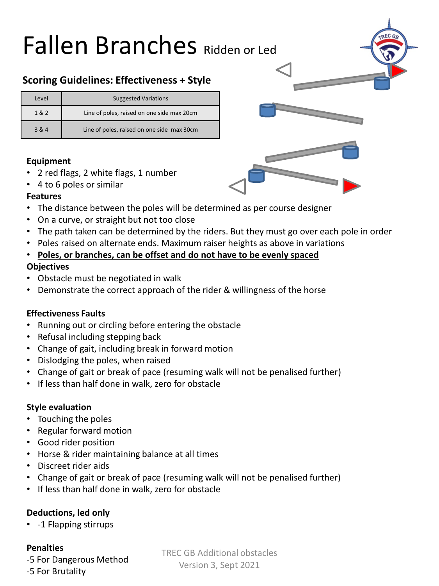# Fallen Branches Ridden or Led

### **Scoring Guidelines: Effectiveness + Style**

| Level | <b>Suggested Variations</b>                |  |
|-------|--------------------------------------------|--|
| 1 & 2 | Line of poles, raised on one side max 20cm |  |
| 3 & 4 | Line of poles, raised on one side max 30cm |  |

#### **Equipment**

- 2 red flags, 2 white flags, 1 number
- 4 to 6 poles or similar

#### **Features**

- The distance between the poles will be determined as per course designer
- On a curve, or straight but not too close
- The path taken can be determined by the riders. But they must go over each pole in order
- Poles raised on alternate ends. Maximum raiser heights as above in variations

#### • **Poles, or branches, can be offset and do not have to be evenly spaced**

#### **Objectives**

- Obstacle must be negotiated in walk
- Demonstrate the correct approach of the rider & willingness of the horse

#### **Effectiveness Faults**

- Running out or circling before entering the obstacle
- Refusal including stepping back
- Change of gait, including break in forward motion
- Dislodging the poles, when raised
- Change of gait or break of pace (resuming walk will not be penalised further)
- If less than half done in walk, zero for obstacle

#### **Style evaluation**

- Touching the poles
- Regular forward motion
- Good rider position
- Horse & rider maintaining balance at all times
- Discreet rider aids
- Change of gait or break of pace (resuming walk will not be penalised further)
- If less than half done in walk, zero for obstacle

#### **Deductions, led only**

• -1 Flapping stirrups

#### **Penalties**

-5 For Dangerous Method -5 For Brutality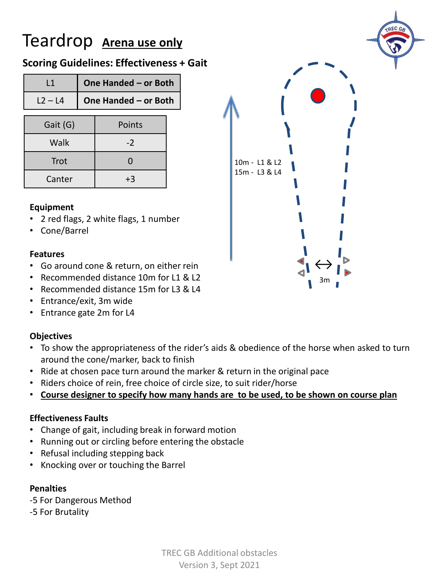# Teardrop **Arena use only**

### **Scoring Guidelines: Effectiveness + Gait**

| L1        |  | One Handed - or Both |  |
|-----------|--|----------------------|--|
| $L2 - L4$ |  | One Handed - or Both |  |
| Gait (G)  |  | Points               |  |
| Walk      |  | $-2$                 |  |
| Trot      |  | 0                    |  |
| Canter    |  |                      |  |

#### **Equipment**

- 2 red flags, 2 white flags, 1 number
- Cone/Barrel

#### **Features**

- Go around cone & return, on either rein
- Recommended distance 10m for L1 & L2
- Recommended distance 15m for L3 & L4
- Entrance/exit, 3m wide
- Entrance gate 2m for L4

#### **Objectives**

- To show the appropriateness of the rider's aids & obedience of the horse when asked to turn around the cone/marker, back to finish
- Ride at chosen pace turn around the marker & return in the original pace
- Riders choice of rein, free choice of circle size, to suit rider/horse
- **Course designer to specify how many hands are to be used, to be shown on course plan**

#### **Effectiveness Faults**

- Change of gait, including break in forward motion
- Running out or circling before entering the obstacle
- Refusal including stepping back
- Knocking over or touching the Barrel

#### **Penalties**

- -5 For Dangerous Method
- -5 For Brutality

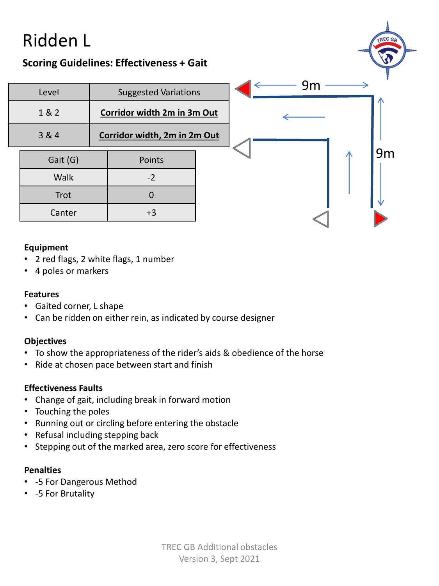# Ridden L

### **Scoring Guidelines: Effectiveness + Gait**

| Level  |                                      | <b>Suggested Variations</b>  |        | 9 <sub>m</sub> |     |    |
|--------|--------------------------------------|------------------------------|--------|----------------|-----|----|
|        | 1 & 2<br>Corridor width 2m in 3m Out |                              |        |                | ZJN |    |
| 3 & 4  |                                      | Corridor width, 2m in 2m Out |        |                |     |    |
|        | Gait (G)                             |                              | Points |                |     | 9m |
|        | Walk                                 |                              | $-2$   |                |     |    |
| Trot   |                                      |                              |        |                |     |    |
| Canter |                                      | $+3$                         |        |                |     |    |

#### **Equipment**

- 2 red flags, 2 white flags, 1 number
- 4 poles or markers

#### **Features**

- Gaited corner, L shape
- Can be ridden on either rein, as indicated by course designer

#### **Objectives**

- To show the appropriateness of the rider's aids & obedience of the horse
- Ride at chosen pace between start and finish

#### **Effectiveness Faults**

- Change of gait, including break in forward motion
- Touching the poles
- Running out or circling before entering the obstacle
- Refusal including stepping back
- Stepping out of the marked area, zero score for effectiveness

#### **Penalties**

- -5 For Dangerous Method
- -5 For Brutality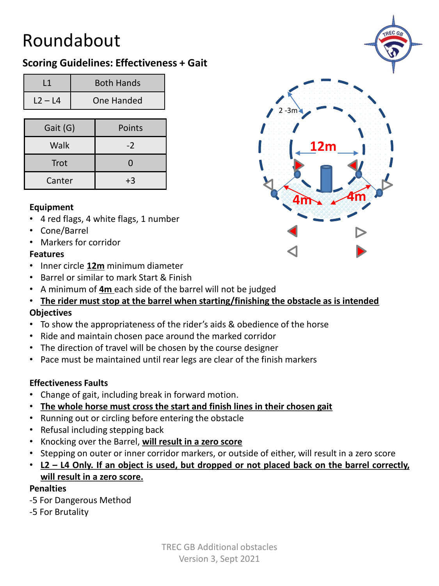# Roundabout

### **Scoring Guidelines: Effectiveness + Gait**

|           | <b>Both Hands</b> |
|-----------|-------------------|
| $12 - 14$ | One Handed        |

| Gait (G)    | Points |
|-------------|--------|
| Walk        | $-2$   |
| <b>Trot</b> |        |
| Canter      | +3     |

#### **Equipment**

- 4 red flags, 4 white flags, 1 number
- Cone/Barrel
- Markers for corridor

#### **Features**

- Inner circle **12m** minimum diameter
- Barrel or similar to mark Start & Finish
- A minimum of **4m** each side of the barrel will not be judged
- **The rider must stop at the barrel when starting/finishing the obstacle as is intended Objectives**
- To show the appropriateness of the rider's aids & obedience of the horse
- Ride and maintain chosen pace around the marked corridor
- The direction of travel will be chosen by the course designer
- Pace must be maintained until rear legs are clear of the finish markers

#### **Effectiveness Faults**

- Change of gait, including break in forward motion.
- **The whole horse must cross the start and finish lines in their chosen gait**
- Running out or circling before entering the obstacle
- Refusal including stepping back
- Knocking over the Barrel, **will result in a zero score**
- Stepping on outer or inner corridor markers, or outside of either, will result in a zero score
- L2 L4 Only. If an object is used, but dropped or not placed back on the barrel correctly, **will result in a zero score.**

#### **Penalties**

- -5 For Dangerous Method
- -5 For Brutality



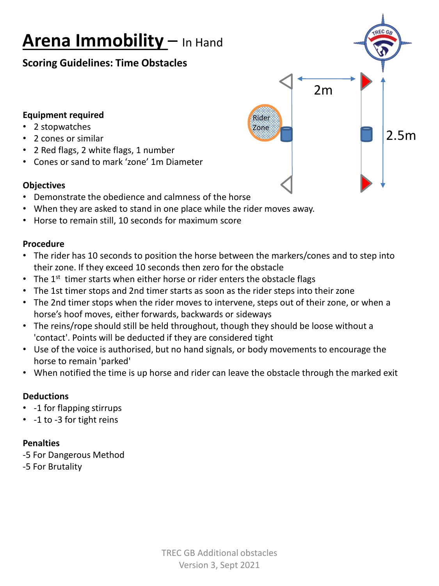# **Arena Immobility** – In Hand

### **Scoring Guidelines: Time Obstacles**

#### **Equipment required**

- 2 stopwatches
- 2 cones or similar
- 2 Red flags, 2 white flags, 1 number
- Cones or sand to mark 'zone' 1m Diameter

#### **Objectives**

- Demonstrate the obedience and calmness of the horse
- When they are asked to stand in one place while the rider moves away.
- Horse to remain still, 10 seconds for maximum score

#### **Procedure**

• The rider has 10 seconds to position the horse between the markers/cones and to step into their zone. If they exceed 10 seconds then zero for the obstacle

Rider Zone

2m

2.5m

- The  $1<sup>st</sup>$  timer starts when either horse or rider enters the obstacle flags
- The 1st timer stops and 2nd timer starts as soon as the rider steps into their zone
- The 2nd timer stops when the rider moves to intervene, steps out of their zone, or when a horse's hoof moves, either forwards, backwards or sideways
- The reins/rope should still be held throughout, though they should be loose without a 'contact'. Points will be deducted if they are considered tight
- Use of the voice is authorised, but no hand signals, or body movements to encourage the horse to remain 'parked'
- When notified the time is up horse and rider can leave the obstacle through the marked exit

#### **Deductions**

- -1 for flapping stirrups
- -1 to -3 for tight reins

#### **Penalties**

-5 For Dangerous Method

-5 For Brutality